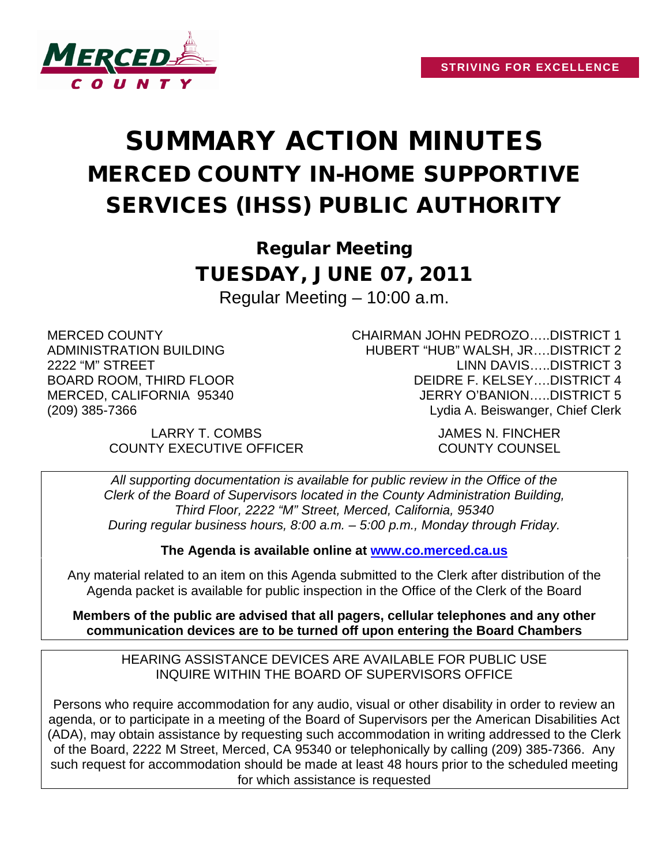

# SUMMARY ACTION MINUTES MERCED COUNTY IN-HOME SUPPORTIVE SERVICES (IHSS) PUBLIC AUTHORITY

Regular Meeting TUESDAY, JUNE 07, 2011 Regular Meeting – 10:00 a.m.

MERCED COUNTY ADMINISTRATION BUILDING 2222 "M" STREET BOARD ROOM, THIRD FLOOR MERCED, CALIFORNIA 95340 (209) 385-7366

> LARRY T. COMBS JAMES N. FINCHER COUNTY EXECUTIVE OFFICER COUNTY COUNSEL

CHAIRMAN JOHN PEDROZO…..DISTRICT 1 HUBERT "HUB" WALSH, JR….DISTRICT 2 LINN DAVIS…..DISTRICT 3 DEIDRE F. KELSEY….DISTRICT 4 JERRY O'BANION…..DISTRICT 5 Lydia A. Beiswanger, Chief Clerk

*All supporting documentation is available for public review in the Office of the Clerk of the Board of Supervisors located in the County Administration Building, Third Floor, 2222 "M" Street, Merced, California, 95340 During regular business hours, 8:00 a.m. – 5:00 p.m., Monday through Friday.*

**The Agenda is available online at [www.co.merced.ca.us](http://www.co.merced.ca.us/)**

Any material related to an item on this Agenda submitted to the Clerk after distribution of the Agenda packet is available for public inspection in the Office of the Clerk of the Board

**Members of the public are advised that all pagers, cellular telephones and any other communication devices are to be turned off upon entering the Board Chambers**

HEARING ASSISTANCE DEVICES ARE AVAILABLE FOR PUBLIC USE INQUIRE WITHIN THE BOARD OF SUPERVISORS OFFICE

Persons who require accommodation for any audio, visual or other disability in order to review an agenda, or to participate in a meeting of the Board of Supervisors per the American Disabilities Act (ADA), may obtain assistance by requesting such accommodation in writing addressed to the Clerk of the Board, 2222 M Street, Merced, CA 95340 or telephonically by calling (209) 385-7366. Any such request for accommodation should be made at least 48 hours prior to the scheduled meeting for which assistance is requested